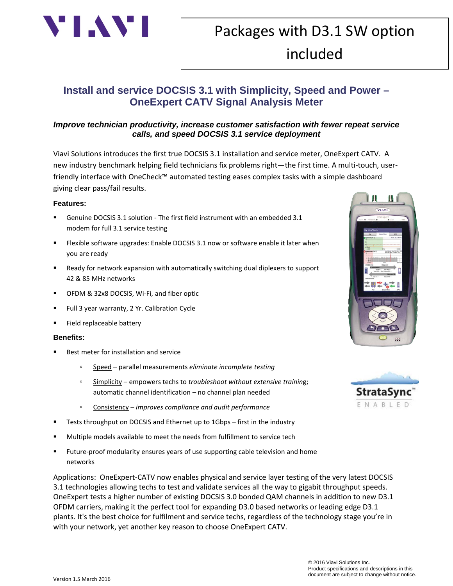

# Packages with D3.1 SW option included

## **Install and service DOCSIS 3.1 with Simplicity, Speed and Power – OneExpert CATV Signal Analysis Meter**

#### *Improve technician productivity, increase customer satisfaction with fewer repeat service calls, and speed DOCSIS 3.1 service deployment*

Viavi Solutions introduces the first true DOCSIS 3.1 installation and service meter, OneExpert CATV. A new industry benchmark helping field technicians fix problems right—the first time. A multi-touch, userfriendly interface with OneCheck™ automated testing eases complex tasks with a simple dashboard giving clear pass/fail results.

#### **Features:**

- Genuine DOCSIS 3.1 solution The first field instrument with an embedded 3.1 modem for full 3.1 service testing
- Flexible software upgrades: Enable DOCSIS 3.1 now or software enable it later when you are ready
- Ready for network expansion with automatically switching dual diplexers to support 42 & 85 MHz networks
- OFDM & 32x8 DOCSIS, Wi-Fi, and fiber optic
- Full 3 year warranty, 2 Yr. Calibration Cycle
- Field replaceable battery

#### **Benefits:**

- Best meter for installation and service
	- Speed parallel measurements *eliminate incomplete testing*
	- Simplicity empowers techs to *troubleshoot without extensive trainin*g; automatic channel identification – no channel plan needed
	- Consistency *improves compliance and audit performance*
- Tests throughput on DOCSIS and Ethernet up to 1Gbps first in the industry
- Multiple models available to meet the needs from fulfillment to service tech
- Future-proof modularity ensures years of use supporting cable television and home networks

Applications: OneExpert-CATV now enables physical and service layer testing of the very latest DOCSIS 3.1 technologies allowing techs to test and validate services all the way to gigabit throughput speeds. OneExpert tests a higher number of existing DOCSIS 3.0 bonded QAM channels in addition to new D3.1 OFDM carriers, making it the perfect tool for expanding D3.0 based networks or leading edge D3.1 plants. It's the best choice for fulfilment and service techs, regardless of the technology stage you're in with your network, yet another key reason to choose OneExpert CATV.



MД

 $\mathbf{\mathbf{\mu}}$